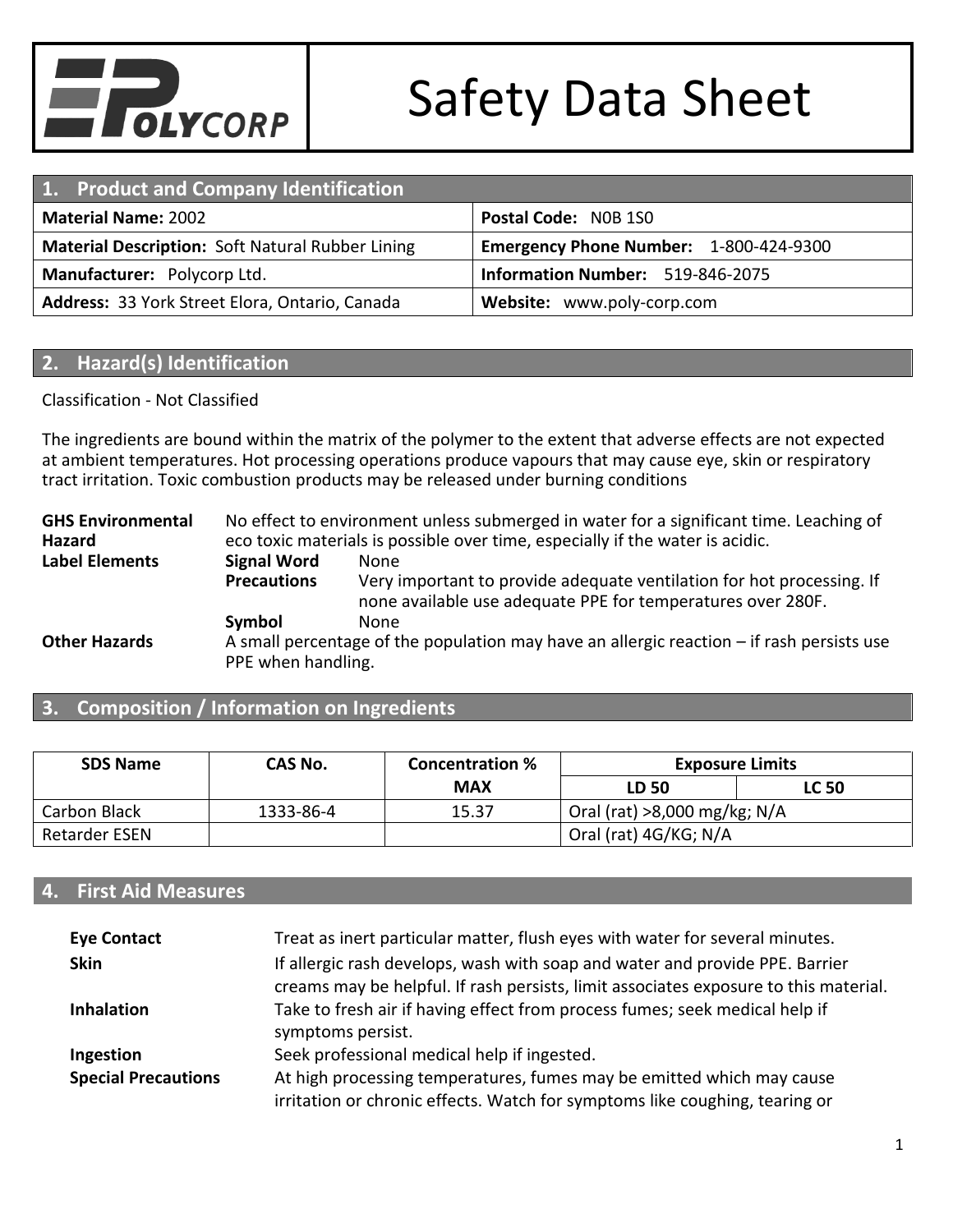

| 1. Product and Company Identification                                                             |                            |  |  |
|---------------------------------------------------------------------------------------------------|----------------------------|--|--|
| Postal Code: NOB 1SO<br><b>Material Name: 2002</b>                                                |                            |  |  |
| <b>Material Description: Soft Natural Rubber Lining</b><br>Emergency Phone Number: 1-800-424-9300 |                            |  |  |
| Information Number: 519-846-2075<br>Manufacturer: Polycorp Ltd.                                   |                            |  |  |
| Address: 33 York Street Elora, Ontario, Canada                                                    | Website: www.poly-corp.com |  |  |

#### **2. Hazard(s) Identification**

#### Classification - Not Classified

The ingredients are bound within the matrix of the polymer to the extent that adverse effects are not expected at ambient temperatures. Hot processing operations produce vapours that may cause eye, skin or respiratory tract irritation. Toxic combustion products may be released under burning conditions

**GHS Environmental Hazard** No effect to environment unless submerged in water for a significant time. Leaching of eco toxic materials is possible over time, especially if the water is acidic. **Label Elements Signal Word** None **Precautions** Very important to provide adequate ventilation for hot processing. If none available use adequate PPE for temperatures over 280F. **Symbol** None **Other Hazards** A small percentage of the population may have an allergic reaction – if rash persists use PPE when handling.

#### **3. Composition / Information on Ingredients**

| <b>SDS Name</b> | CAS No.   | <b>Concentration %</b> | <b>Exposure Limits</b>         |              |
|-----------------|-----------|------------------------|--------------------------------|--------------|
|                 |           | <b>MAX</b>             | LD 50                          | <b>LC 50</b> |
| Carbon Black    | 1333-86-4 | 15.37                  | Oral (rat) $>8,000$ mg/kg; N/A |              |
| Retarder ESEN   |           |                        | Oral (rat) 4G/KG; N/A          |              |

#### **4. First Aid Measures**

| <b>Eye Contact</b>         | Treat as inert particular matter, flush eyes with water for several minutes.                                                                                         |
|----------------------------|----------------------------------------------------------------------------------------------------------------------------------------------------------------------|
| <b>Skin</b>                | If allergic rash develops, wash with soap and water and provide PPE. Barrier<br>creams may be helpful. If rash persists, limit associates exposure to this material. |
| <b>Inhalation</b>          | Take to fresh air if having effect from process fumes; seek medical help if<br>symptoms persist.                                                                     |
| Ingestion                  | Seek professional medical help if ingested.                                                                                                                          |
| <b>Special Precautions</b> | At high processing temperatures, fumes may be emitted which may cause<br>irritation or chronic effects. Watch for symptoms like coughing, tearing or                 |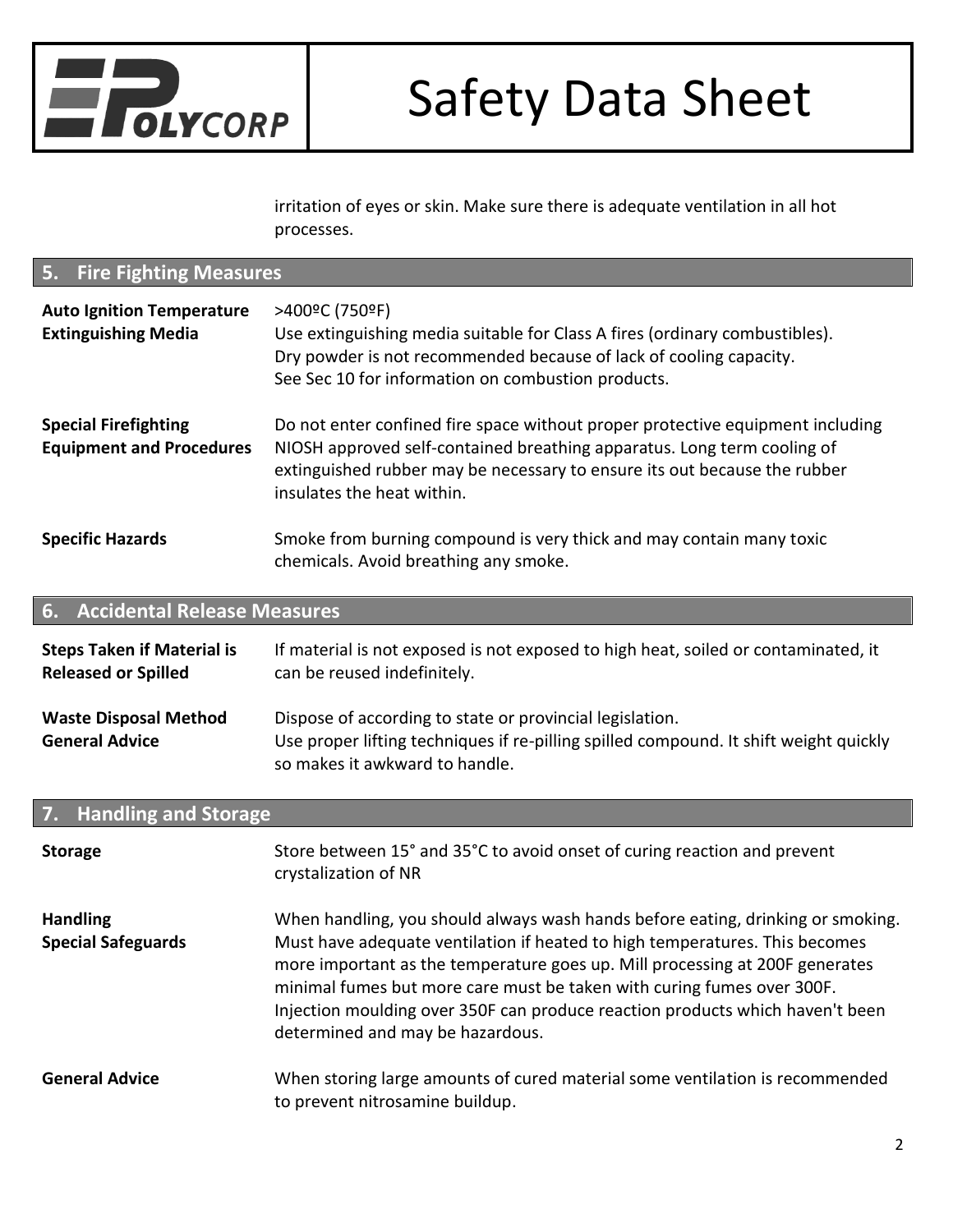

irritation of eyes or skin. Make sure there is adequate ventilation in all hot processes.

| <b>Fire Fighting Measures</b><br>5.                             |                                                                                                                                                                                                                                                                                                                                                                                                                                               |  |  |
|-----------------------------------------------------------------|-----------------------------------------------------------------------------------------------------------------------------------------------------------------------------------------------------------------------------------------------------------------------------------------------------------------------------------------------------------------------------------------------------------------------------------------------|--|--|
| <b>Auto Ignition Temperature</b><br><b>Extinguishing Media</b>  | >400°C (750°F)<br>Use extinguishing media suitable for Class A fires (ordinary combustibles).<br>Dry powder is not recommended because of lack of cooling capacity.<br>See Sec 10 for information on combustion products.                                                                                                                                                                                                                     |  |  |
| <b>Special Firefighting</b><br><b>Equipment and Procedures</b>  | Do not enter confined fire space without proper protective equipment including<br>NIOSH approved self-contained breathing apparatus. Long term cooling of<br>extinguished rubber may be necessary to ensure its out because the rubber<br>insulates the heat within.                                                                                                                                                                          |  |  |
| <b>Specific Hazards</b>                                         | Smoke from burning compound is very thick and may contain many toxic<br>chemicals. Avoid breathing any smoke.                                                                                                                                                                                                                                                                                                                                 |  |  |
| <b>Accidental Release Measures</b><br>6.                        |                                                                                                                                                                                                                                                                                                                                                                                                                                               |  |  |
| <b>Steps Taken if Material is</b><br><b>Released or Spilled</b> | If material is not exposed is not exposed to high heat, soiled or contaminated, it<br>can be reused indefinitely.                                                                                                                                                                                                                                                                                                                             |  |  |
| <b>Waste Disposal Method</b><br><b>General Advice</b>           | Dispose of according to state or provincial legislation.<br>Use proper lifting techniques if re-pilling spilled compound. It shift weight quickly<br>so makes it awkward to handle.                                                                                                                                                                                                                                                           |  |  |
| <b>Handling and Storage</b><br>7.                               |                                                                                                                                                                                                                                                                                                                                                                                                                                               |  |  |
| <b>Storage</b>                                                  | Store between 15° and 35°C to avoid onset of curing reaction and prevent<br>crystalization of NR                                                                                                                                                                                                                                                                                                                                              |  |  |
| <b>Handling</b><br><b>Special Safeguards</b>                    | When handling, you should always wash hands before eating, drinking or smoking.<br>Must have adequate ventilation if heated to high temperatures. This becomes<br>more important as the temperature goes up. Mill processing at 200F generates<br>minimal fumes but more care must be taken with curing fumes over 300F.<br>Injection moulding over 350F can produce reaction products which haven't been<br>determined and may be hazardous. |  |  |

#### **General Advice** When storing large amounts of cured material some ventilation is recommended to prevent nitrosamine buildup.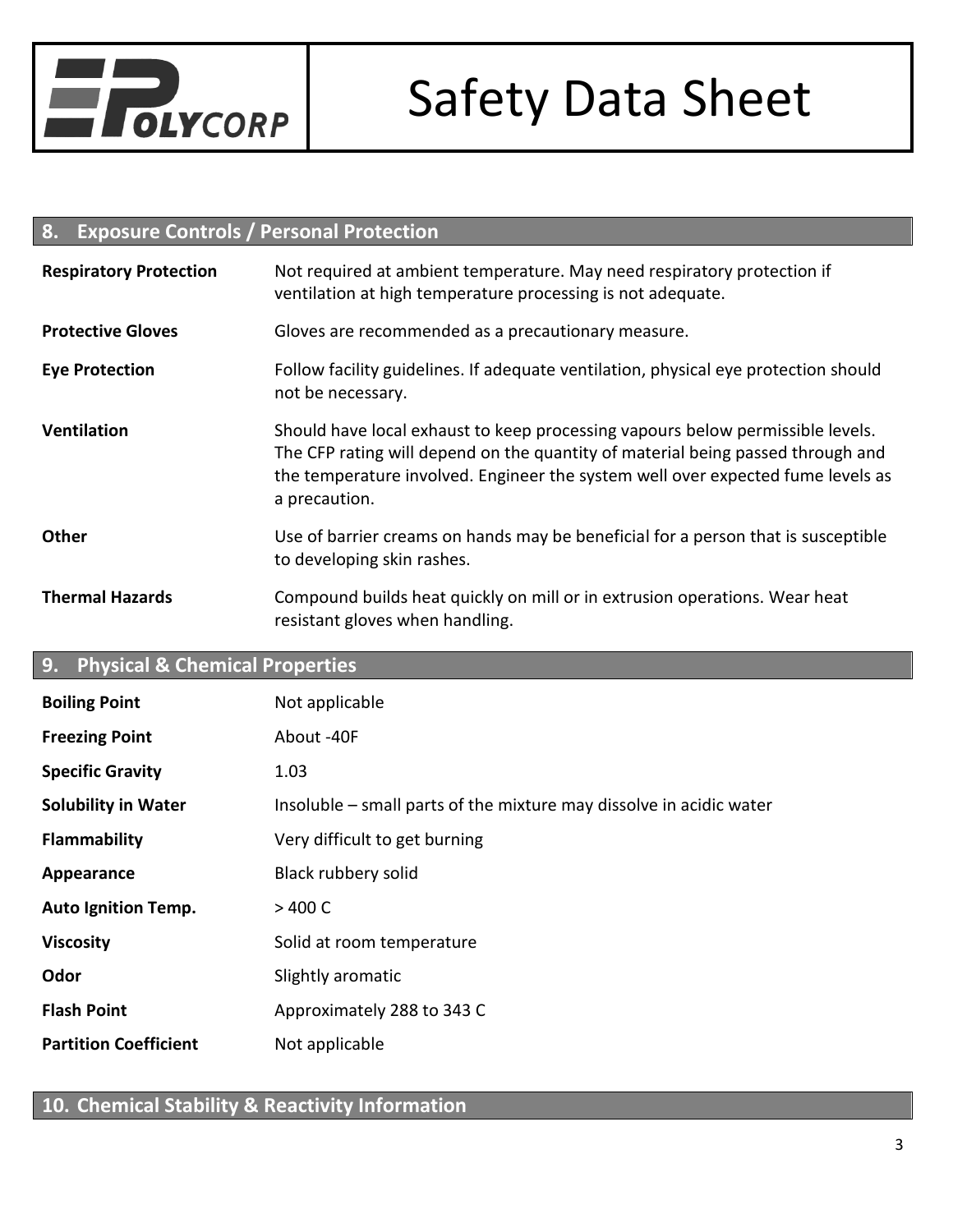

#### **8. Exposure Controls / Personal Protection**

| <b>Respiratory Protection</b> | Not required at ambient temperature. May need respiratory protection if<br>ventilation at high temperature processing is not adequate.                                                                                                                                |  |  |
|-------------------------------|-----------------------------------------------------------------------------------------------------------------------------------------------------------------------------------------------------------------------------------------------------------------------|--|--|
| <b>Protective Gloves</b>      | Gloves are recommended as a precautionary measure.                                                                                                                                                                                                                    |  |  |
| <b>Eye Protection</b>         | Follow facility guidelines. If adequate ventilation, physical eye protection should<br>not be necessary.                                                                                                                                                              |  |  |
| <b>Ventilation</b>            | Should have local exhaust to keep processing vapours below permissible levels.<br>The CFP rating will depend on the quantity of material being passed through and<br>the temperature involved. Engineer the system well over expected fume levels as<br>a precaution. |  |  |
| <b>Other</b>                  | Use of barrier creams on hands may be beneficial for a person that is susceptible<br>to developing skin rashes.                                                                                                                                                       |  |  |
| <b>Thermal Hazards</b>        | Compound builds heat quickly on mill or in extrusion operations. Wear heat<br>resistant gloves when handling.                                                                                                                                                         |  |  |

#### **9. Physical & Chemical Properties**

| <b>Boiling Point</b>         | Not applicable                                                      |
|------------------------------|---------------------------------------------------------------------|
| <b>Freezing Point</b>        | About -40F                                                          |
| <b>Specific Gravity</b>      | 1.03                                                                |
| <b>Solubility in Water</b>   | Insoluble – small parts of the mixture may dissolve in acidic water |
| <b>Flammability</b>          | Very difficult to get burning                                       |
| Appearance                   | Black rubbery solid                                                 |
| <b>Auto Ignition Temp.</b>   | >400 C                                                              |
| <b>Viscosity</b>             | Solid at room temperature                                           |
| Odor                         | Slightly aromatic                                                   |
| <b>Flash Point</b>           | Approximately 288 to 343 C                                          |
| <b>Partition Coefficient</b> | Not applicable                                                      |

### **10. Chemical Stability & Reactivity Information**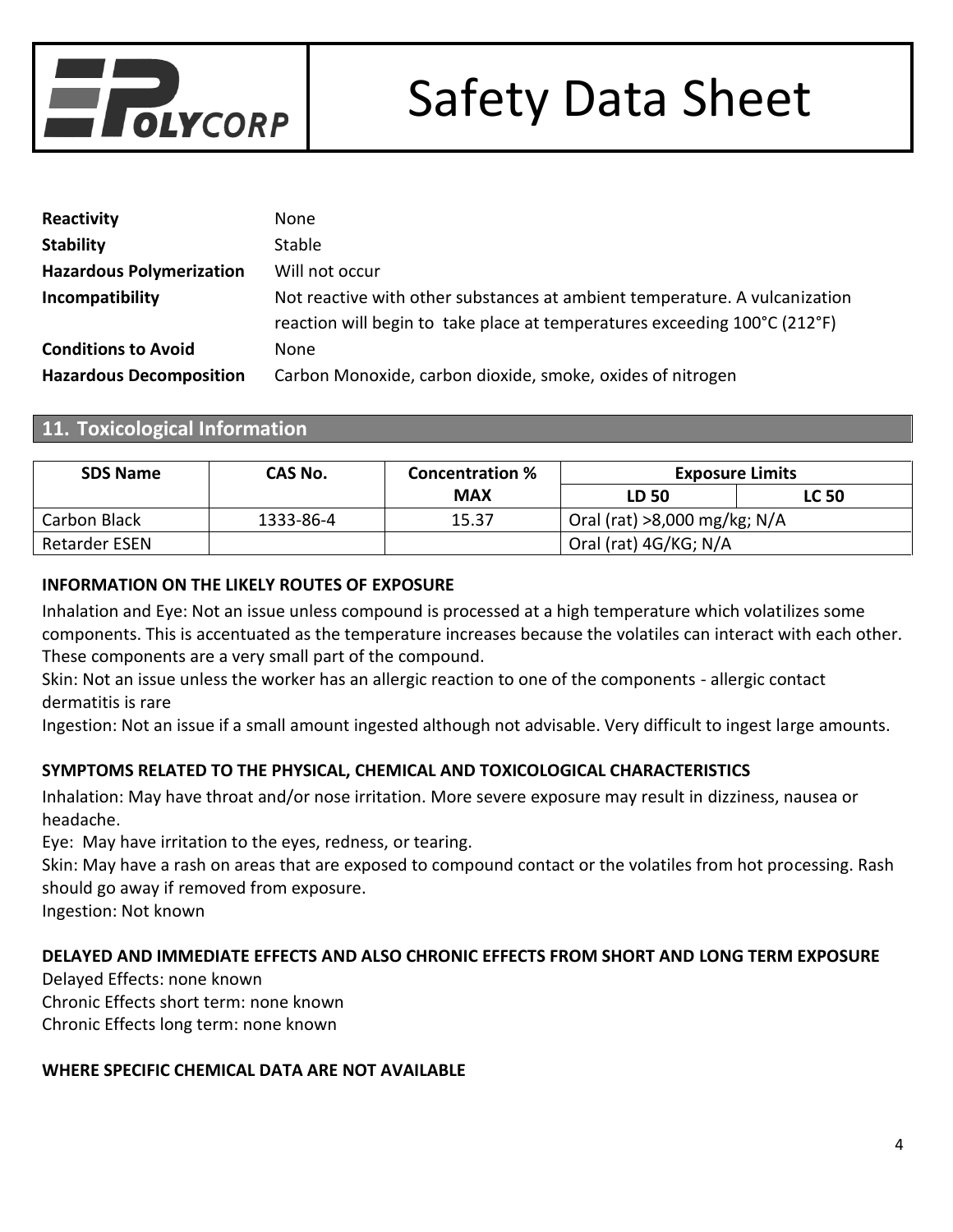

| Reactivity                      | None                                                                       |
|---------------------------------|----------------------------------------------------------------------------|
| <b>Stability</b>                | <b>Stable</b>                                                              |
| <b>Hazardous Polymerization</b> | Will not occur                                                             |
| Incompatibility                 | Not reactive with other substances at ambient temperature. A vulcanization |
|                                 | reaction will begin to take place at temperatures exceeding 100°C (212°F)  |
| <b>Conditions to Avoid</b>      | None                                                                       |
| <b>Hazardous Decomposition</b>  | Carbon Monoxide, carbon dioxide, smoke, oxides of nitrogen                 |

#### **11. Toxicological Information**

| <b>SDS Name</b> | CAS No.   | <b>Concentration %</b> | <b>Exposure Limits</b>         |              |
|-----------------|-----------|------------------------|--------------------------------|--------------|
|                 |           | <b>MAX</b>             | LD 50                          | <b>LC 50</b> |
| Carbon Black    | 1333-86-4 | 15.37                  | Oral (rat) $>8,000$ mg/kg; N/A |              |
| Retarder ESEN   |           |                        | Oral (rat) 4G/KG; N/A          |              |

#### **INFORMATION ON THE LIKELY ROUTES OF EXPOSURE**

Inhalation and Eye: Not an issue unless compound is processed at a high temperature which volatilizes some components. This is accentuated as the temperature increases because the volatiles can interact with each other. These components are a very small part of the compound.

Skin: Not an issue unless the worker has an allergic reaction to one of the components - allergic contact dermatitis is rare

Ingestion: Not an issue if a small amount ingested although not advisable. Very difficult to ingest large amounts.

#### **SYMPTOMS RELATED TO THE PHYSICAL, CHEMICAL AND TOXICOLOGICAL CHARACTERISTICS**

Inhalation: May have throat and/or nose irritation. More severe exposure may result in dizziness, nausea or headache.

Eye: May have irritation to the eyes, redness, or tearing.

Skin: May have a rash on areas that are exposed to compound contact or the volatiles from hot processing. Rash should go away if removed from exposure.

Ingestion: Not known

#### **DELAYED AND IMMEDIATE EFFECTS AND ALSO CHRONIC EFFECTS FROM SHORT AND LONG TERM EXPOSURE**

Delayed Effects: none known Chronic Effects short term: none known Chronic Effects long term: none known

#### **WHERE SPECIFIC CHEMICAL DATA ARE NOT AVAILABLE**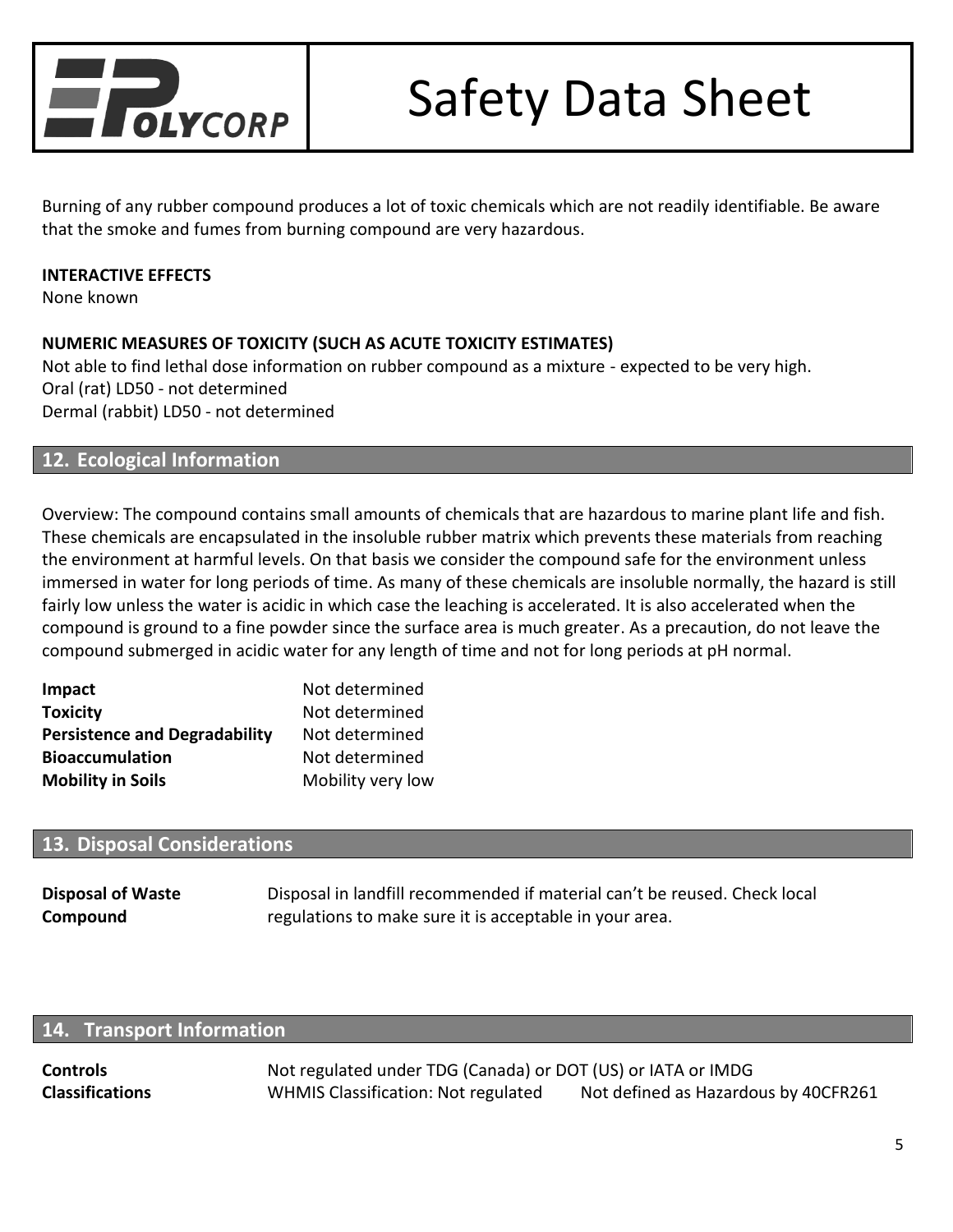

Burning of any rubber compound produces a lot of toxic chemicals which are not readily identifiable. Be aware that the smoke and fumes from burning compound are very hazardous.

#### **INTERACTIVE EFFECTS**

None known

#### **NUMERIC MEASURES OF TOXICITY (SUCH AS ACUTE TOXICITY ESTIMATES)**

Not able to find lethal dose information on rubber compound as a mixture - expected to be very high. Oral (rat) LD50 - not determined Dermal (rabbit) LD50 - not determined

#### **12. Ecological Information**

Overview: The compound contains small amounts of chemicals that are hazardous to marine plant life and fish. These chemicals are encapsulated in the insoluble rubber matrix which prevents these materials from reaching the environment at harmful levels. On that basis we consider the compound safe for the environment unless immersed in water for long periods of time. As many of these chemicals are insoluble normally, the hazard is still fairly low unless the water is acidic in which case the leaching is accelerated. It is also accelerated when the compound is ground to a fine powder since the surface area is much greater. As a precaution, do not leave the compound submerged in acidic water for any length of time and not for long periods at pH normal.

| <b>Impact</b>                        | Not determined    |
|--------------------------------------|-------------------|
| Toxicity                             | Not determined    |
| <b>Persistence and Degradability</b> | Not determined    |
| <b>Bioaccumulation</b>               | Not determined    |
| <b>Mobility in Soils</b>             | Mobility very low |

#### **13. Disposal Considerations**

| <b>Disposal of Waste</b> | Disposal in landfill recommended if material can't be reused. Check local |
|--------------------------|---------------------------------------------------------------------------|
| Compound                 | regulations to make sure it is acceptable in your area.                   |

#### **14. Transport Information**

**Controls** Not regulated under TDG (Canada) or DOT (US) or IATA or IMDG **Classifications** WHMIS Classification: Not regulated Not defined as Hazardous by 40CFR261